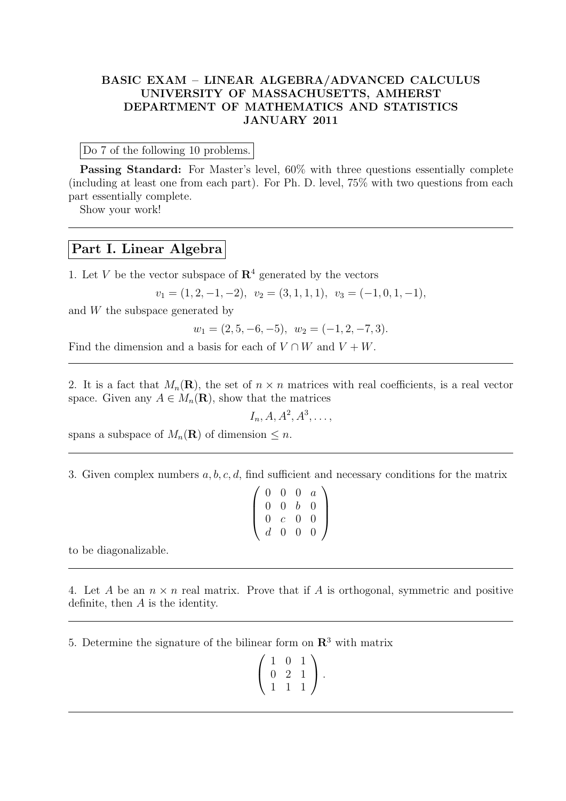## BASIC EXAM – LINEAR ALGEBRA/ADVANCED CALCULUS UNIVERSITY OF MASSACHUSETTS, AMHERST DEPARTMENT OF MATHEMATICS AND STATISTICS JANUARY 2011

Do 7 of the following 10 problems.

Passing Standard: For Master's level, 60% with three questions essentially complete (including at least one from each part). For Ph. D. level, 75% with two questions from each part essentially complete.

Show your work!

## Part I. Linear Algebra

1. Let V be the vector subspace of  $\mathbb{R}^4$  generated by the vectors

$$
v_1 = (1, 2, -1, -2), v_2 = (3, 1, 1, 1), v_3 = (-1, 0, 1, -1),
$$

and W the subspace generated by

 $w_1 = (2, 5, -6, -5), w_2 = (-1, 2, -7, 3).$ 

Find the dimension and a basis for each of  $V \cap W$  and  $V + W$ .

2. It is a fact that  $M_n(\mathbf{R})$ , the set of  $n \times n$  matrices with real coefficients, is a real vector space. Given any  $A \in M_n(\mathbf{R})$ , show that the matrices

 $I_n, A, A^2, A^3, \ldots,$ 

spans a subspace of  $M_n(\mathbf{R})$  of dimension  $\leq n$ .

3. Given complex numbers a, b, c, d, find sufficient and necessary conditions for the matrix

| $\overline{0}$   | $\overline{0}$ | $\rm 0$          | $\overline{a}$ |  |
|------------------|----------------|------------------|----------------|--|
| $\left( \right)$ | $\overline{0}$ | $\mathfrak{b}^-$ | 0              |  |
| $\left( \right)$ | $\mathcal{C}$  | $\overline{0}$   | 0              |  |
| $d_{-}$          | $\overline{0}$ | $\theta$         | 0              |  |

to be diagonalizable.

4. Let A be an  $n \times n$  real matrix. Prove that if A is orthogonal, symmetric and positive definite, then A is the identity.

5. Determine the signature of the bilinear form on  $\mathbb{R}^3$  with matrix

$$
\left(\begin{array}{rrr} 1 & 0 & 1 \\ 0 & 2 & 1 \\ 1 & 1 & 1 \end{array}\right).
$$